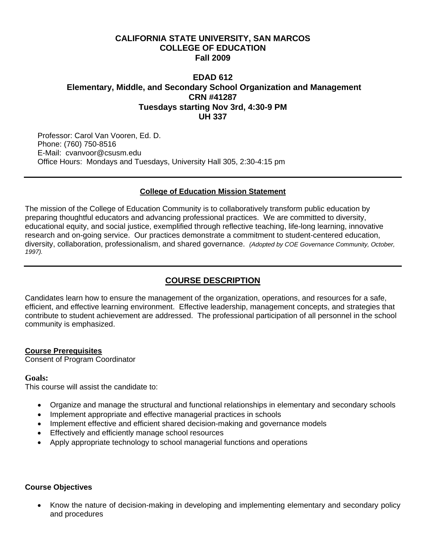## **CALIFORNIA STATE UNIVERSITY, SAN MARCOS COLLEGE OF EDUCATION Fall 2009**

# **EDAD 612 Elementary, Middle, and Secondary School Organization and Management CRN #41287 Tuesdays starting Nov 3rd, 4:30-9 PM UH 337**

Professor: Carol Van Vooren, Ed. D. Phone: (760) 750-8516 E-Mail: cvanvoor@csusm.edu Office Hours: Mondays and Tuesdays, University Hall 305, 2:30-4:15 pm

### **College of Education Mission Statement**

The mission of the College of Education Community is to collaboratively transform public education by preparing thoughtful educators and advancing professional practices. We are committed to diversity, educational equity, and social justice, exemplified through reflective teaching, life-long learning, innovative research and on-going service. Our practices demonstrate a commitment to student-centered education, diversity, collaboration, professionalism, and shared governance. *(Adopted by COE Governance Community, October, 1997).* 

# **COURSE DESCRIPTION**

Candidates learn how to ensure the management of the organization, operations, and resources for a safe, efficient, and effective learning environment. Effective leadership, management concepts, and strategies that contribute to student achievement are addressed. The professional participation of all personnel in the school community is emphasized.

### **Course Prerequisites**

Consent of Program Coordinator

#### **Goals:**

This course will assist the candidate to:

- • Organize and manage the structural and functional relationships in elementary and secondary schools
- Implement appropriate and effective managerial practices in schools
- Implement effective and efficient shared decision-making and governance models
- • Effectively and efficiently manage school resources
- • Apply appropriate technology to school managerial functions and operations

#### **Course Objectives**

Know the nature of decision-making in developing and implementing elementary and secondary policy and procedures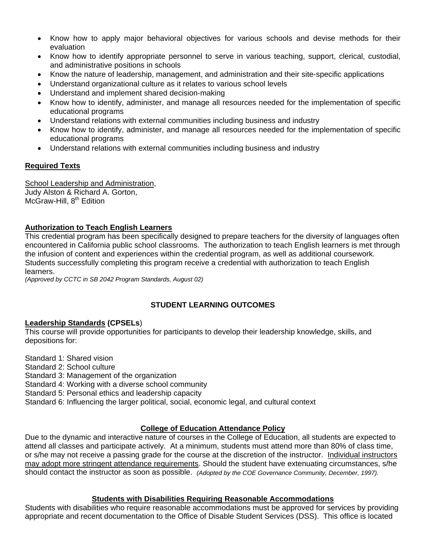- Know how to apply major behavioral objectives for various schools and devise methods for their evaluation
- Know how to identify appropriate personnel to serve in various teaching, support, clerical, custodial, and administrative positions in schools
- Know the nature of leadership, management, and administration and their site-specific applications
- Understand organizational culture as it relates to various school levels
- Understand and implement shared decision-making
- Know how to identify, administer, and manage all resources needed for the implementation of specific educational programs
- Understand relations with external communities including business and industry
- Know how to identify, administer, and manage all resources needed for the implementation of specific educational programs
- Understand relations with external communities including business and industry

## **Required Texts**

School Leadership and Administration, Judy Alston & Richard A. Gorton, McGraw-Hill, 8<sup>th</sup> Edition

### **Authorization to Teach English Learners**

This credential program has been specifically designed to prepare teachers for the diversity of languages often encountered in California public school classrooms. The authorization to teach English learners is met through the infusion of content and experiences within the credential program, as well as additional coursework. Students successfully completing this program receive a credential with authorization to teach English learners.

*(Approved by CCTC in SB 2042 Program Standards, August 02)* 

## **STUDENT LEARNING OUTCOMES**

### **Leadership Standards (CPSELs**)

This course will provide opportunities for participants to develop their leadership knowledge, skills, and depositions for:

Standard 1: Shared vision

Standard 2: School culture

Standard 3: Management of the organization

Standard 4: Working with a diverse school community

Standard 5: Personal ethics and leadership capacity

Standard 6: Influencing the larger political, social, economic legal, and cultural context

### **College of Education Attendance Policy**

 should contact the instructor as soon as possible. *(Adopted by the COE Governance Community, December, 1997).* Due to the dynamic and interactive nature of courses in the College of Education, all students are expected to attend all classes and participate actively. At a minimum, students must attend more than 80% of class time, or s/he may not receive a passing grade for the course at the discretion of the instructor. Individual instructors may adopt more stringent attendance requirements. Should the student have extenuating circumstances, s/he

### **Students with Disabilities Requiring Reasonable Accommodations**

Students with disabilities who require reasonable accommodations must be approved for services by providing appropriate and recent documentation to the Office of Disable Student Services (DSS). This office is located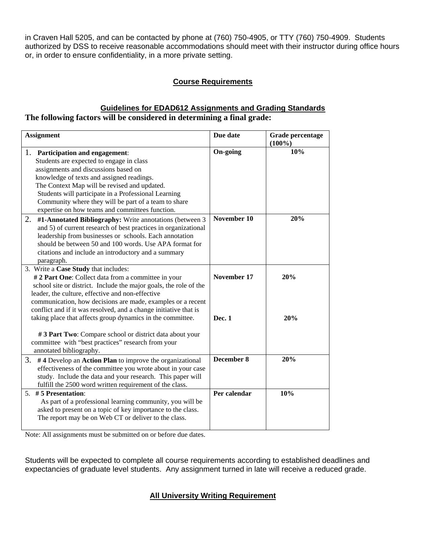in Craven Hall 5205, and can be contacted by phone at (760) 750-4905, or TTY (760) 750-4909. Students authorized by DSS to receive reasonable accommodations should meet with their instructor during office hours or, in order to ensure confidentiality, in a more private setting.

## **Course Requirements**

## **Guidelines for EDAD612 Assignments and Grading Standards The following factors will be considered in determining a final grade:**

| <b>Assignment</b>                                                                                                                                                                                                                                                                                                                                                                                                                                     | Due date                | Grade percentage<br>$(100\%)$ |
|-------------------------------------------------------------------------------------------------------------------------------------------------------------------------------------------------------------------------------------------------------------------------------------------------------------------------------------------------------------------------------------------------------------------------------------------------------|-------------------------|-------------------------------|
| 1. Participation and engagement:<br>Students are expected to engage in class<br>assignments and discussions based on<br>knowledge of texts and assigned readings.<br>The Context Map will be revised and updated.<br>Students will participate in a Professional Learning<br>Community where they will be part of a team to share<br>expertise on how teams and committees function.<br>2.<br>#1-Annotated Bibliography: Write annotations (between 3 | On-going<br>November 10 | 10%<br>20%                    |
| and 5) of current research of best practices in organizational<br>leadership from businesses or schools. Each annotation<br>should be between 50 and 100 words. Use APA format for<br>citations and include an introductory and a summary<br>paragraph.                                                                                                                                                                                               |                         |                               |
| 3. Write a Case Study that includes:<br># 2 Part One: Collect data from a committee in your<br>school site or district. Include the major goals, the role of the<br>leader, the culture, effective and non-effective<br>communication, how decisions are made, examples or a recent<br>conflict and if it was resolved, and a change initiative that is                                                                                               | November 17             | 20%                           |
| taking place that affects group dynamics in the committee.<br>#3 Part Two: Compare school or district data about your<br>committee with "best practices" research from your<br>annotated bibliography.                                                                                                                                                                                                                                                | Dec. 1                  | 20%                           |
| 3. #4 Develop an Action Plan to improve the organizational<br>effectiveness of the committee you wrote about in your case<br>study. Include the data and your research. This paper will<br>fulfill the 2500 word written requirement of the class.                                                                                                                                                                                                    | December 8              | 20%                           |
| 5. #5 Presentation:<br>As part of a professional learning community, you will be<br>asked to present on a topic of key importance to the class.<br>The report may be on Web CT or deliver to the class.                                                                                                                                                                                                                                               | Per calendar            | 10%                           |

Note: All assignments must be submitted on or before due dates.

Students will be expected to complete all course requirements according to established deadlines and expectancies of graduate level students. Any assignment turned in late will receive a reduced grade.

# **All University Writing Requirement**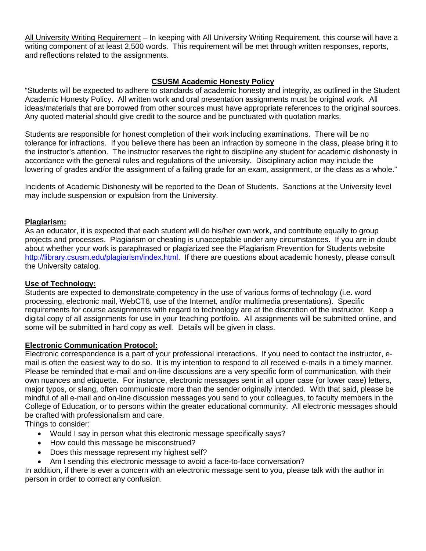All University Writing Requirement – In keeping with All University Writing Requirement, this course will have a writing component of at least 2,500 words. This requirement will be met through written responses, reports, and reflections related to the assignments.

## **CSUSM Academic Honesty Policy**

"Students will be expected to adhere to standards of academic honesty and integrity, as outlined in the Student Academic Honesty Policy. All written work and oral presentation assignments must be original work. All ideas/materials that are borrowed from other sources must have appropriate references to the original sources. Any quoted material should give credit to the source and be punctuated with quotation marks.

Students are responsible for honest completion of their work including examinations. There will be no tolerance for infractions. If you believe there has been an infraction by someone in the class, please bring it to the instructor's attention. The instructor reserves the right to discipline any student for academic dishonesty in accordance with the general rules and regulations of the university. Disciplinary action may include the lowering of grades and/or the assignment of a failing grade for an exam, assignment, or the class as a whole."

Incidents of Academic Dishonesty will be reported to the Dean of Students. Sanctions at the University level may include suspension or expulsion from the University.

### **Plagiarism:**

As an educator, it is expected that each student will do his/her own work, and contribute equally to group projects and processes. Plagiarism or cheating is unacceptable under any circumstances. If you are in doubt about whether your work is paraphrased or plagiarized see the Plagiarism Prevention for Students website http://library.csusm.edu/plagiarism/index.html. If there are questions about academic honesty, please consult the University catalog.

#### **Use of Technology:**

Students are expected to demonstrate competency in the use of various forms of technology (i.e. word processing, electronic mail, WebCT6, use of the Internet, and/or multimedia presentations). Specific requirements for course assignments with regard to technology are at the discretion of the instructor. Keep a digital copy of all assignments for use in your teaching portfolio. All assignments will be submitted online, and some will be submitted in hard copy as well. Details will be given in class.

#### **Electronic Communication Protocol:**

Electronic correspondence is a part of your professional interactions. If you need to contact the instructor, email is often the easiest way to do so. It is my intention to respond to all received e-mails in a timely manner. Please be reminded that e-mail and on-line discussions are a very specific form of communication, with their own nuances and etiquette. For instance, electronic messages sent in all upper case (or lower case) letters, major typos, or slang, often communicate more than the sender originally intended. With that said, please be mindful of all e-mail and on-line discussion messages you send to your colleagues, to faculty members in the College of Education, or to persons within the greater educational community. All electronic messages should be crafted with professionalism and care.

Things to consider:

- Would I say in person what this electronic message specifically says?
- How could this message be misconstrued?
- Does this message represent my highest self?
- Am I sending this electronic message to avoid a face-to-face conversation?

In addition, if there is ever a concern with an electronic message sent to you, please talk with the author in person in order to correct any confusion.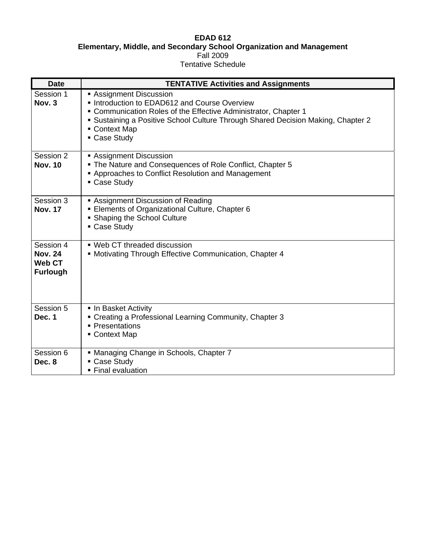#### **EDAD 612 Elementary, Middle, and Secondary School Organization and Management**  Fall 2009 Tentative Schedule

| <b>Date</b>                                                     | <b>TENTATIVE Activities and Assignments</b>                                                                                                                                                                                                                |
|-----------------------------------------------------------------|------------------------------------------------------------------------------------------------------------------------------------------------------------------------------------------------------------------------------------------------------------|
| Session 1<br>Nov. 3                                             | Assignment Discussion<br>Introduction to EDAD612 and Course Overview<br>• Communication Roles of the Effective Administrator, Chapter 1<br>Sustaining a Positive School Culture Through Shared Decision Making, Chapter 2<br>• Context Map<br>• Case Study |
| Session 2<br><b>Nov. 10</b>                                     | Assignment Discussion<br>• The Nature and Consequences of Role Conflict, Chapter 5<br>■ Approaches to Conflict Resolution and Management<br>• Case Study                                                                                                   |
| Session 3<br><b>Nov. 17</b>                                     | Assignment Discussion of Reading<br>Elements of Organizational Culture, Chapter 6<br>• Shaping the School Culture<br>• Case Study                                                                                                                          |
| Session 4<br><b>Nov. 24</b><br><b>Web CT</b><br><b>Furlough</b> | • Web CT threaded discussion<br>• Motivating Through Effective Communication, Chapter 4                                                                                                                                                                    |
| Session 5<br>Dec. 1                                             | In Basket Activity<br>• Creating a Professional Learning Community, Chapter 3<br>• Presentations<br>• Context Map                                                                                                                                          |
| Session 6<br>Dec. 8                                             | • Managing Change in Schools, Chapter 7<br>Case Study<br>• Final evaluation                                                                                                                                                                                |